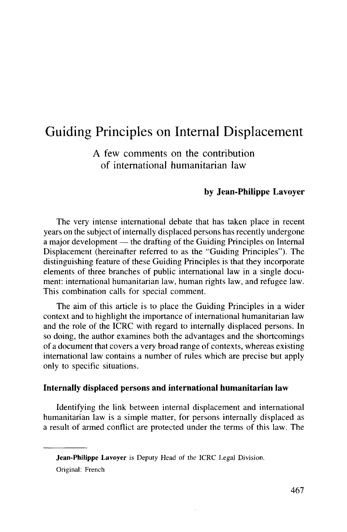# Guiding Principles on Internal Displacement

A few comments on the contribution of international humanitarian law

#### **by Jean-Philippe Lavoyer**

The very intense international debate that has taken place in recent years on the subject of internally displaced persons has recently undergone a major development — the drafting of the Guiding Principles on Internal Displacement (hereinafter referred to as the "Guiding Principles"). The distinguishing feature of these Guiding Principles is that they incorporate elements of three branches of public international law in a single document: international humanitarian law, human rights law, and refugee law. This combination calls for special comment.

The aim of this article is to place the Guiding Principles in a wider context and to highlight the importance of international humanitarian law and the role of the ICRC with regard to internally displaced persons. In so doing, the author examines both the advantages and the shortcomings of a document that covers a very broad range of contexts, whereas existing international law contains a number of rules which are precise but apply only to specific situations.

#### **Internally displaced persons and international humanitarian law**

Identifying the link between internal displacement and international humanitarian law is a simple matter, for persons internally displaced as a result of armed conflict are protected under the terms of this law. The

**Jean-Philippe Lavoyer** is Deputy Head of the ICRC Legal Division.

Original: French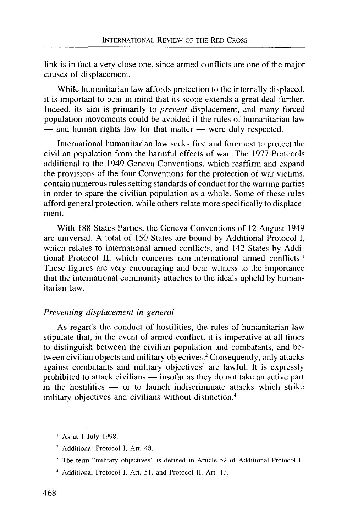link is in fact a very close one, since armed conflicts are one of the major causes of displacement.

While humanitarian law affords protection to the internally displaced, it is important to bear in mind that its scope extends a great deal further. Indeed, its aim is primarily to *prevent* displacement, and many forced population movements could be avoided if the rules of humanitarian law — and human rights law for that matter — were duly respected.

International humanitarian law seeks first and foremost to protect the civilian population from the harmful effects of war. The 1977 Protocols additional to the 1949 Geneva Conventions, which reaffirm and expand the provisions of the four Conventions for the protection of war victims, contain numerous rules setting standards of conduct for the warring parties in order to spare the civilian population as a whole. Some of these rules afford general protection, while others relate more specifically to displacement.

With 188 States Parties, the Geneva Conventions of 12 August 1949 are universal. A total of 150 States are bound by Additional Protocol I, which relates to international armed conflicts, and 142 States by Additional Protocol II, which concerns non-international armed conflicts.<sup>1</sup> These figures are very encouraging and bear witness to the importance that the international community attaches to the ideals upheld by humanitarian law.

## *Preventing displacement in general*

As regards the conduct of hostilities, the rules of humanitarian law stipulate that, in the event of armed conflict, it is imperative at all times to distinguish between the civilian population and combatants, and between civilian objects and military objectives.<sup>2</sup> Consequently, only attacks against combatants and military objectives<sup>3</sup> are lawful. It is expressly prohibited to attack civilians — insofar as they do not take an active part in the hostilities — or to launch indiscriminate attacks which strike military objectives and civilians without distinction.<sup>4</sup>

- 2 Additional Protocol I, Art. 48.
- <sup>3</sup> The term "military objectives" is defined in Article 52 of Additional Protocol I.
- 4 Additional Protocol I, Art. 51, and Protocol II, Art. 13.

<sup>&</sup>lt;sup>1</sup> As at 1 July 1998.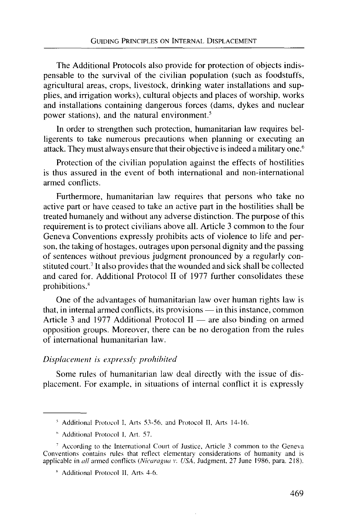The Additional Protocols also provide for protection of objects indispensable to the survival of the civilian population (such as foodstuffs, agricultural areas, crops, livestock, drinking water installations and supplies, and irrigation works), cultural objects and places of worship, works and installations containing dangerous forces (dams, dykes and nuclear power stations), and the natural environment.<sup>5</sup>

In order to strengthen such protection, humanitarian law requires belligerents to take numerous precautions when planning or executing an attack. They must always ensure that their objective is indeed a military one.<sup>6</sup>

Protection of the civilian population against the effects of hostilities is thus assured in the event of both international and non-international armed conflicts.

Furthermore, humanitarian law requires that persons who take no active part or have ceased to take an active part in the hostilities shall be treated humanely and without any adverse distinction. The purpose of this requirement is to protect civilians above all. Article 3 common to the four Geneva Conventions expressly prohibits acts of violence to life and person, the taking of hostages, outrages upon personal dignity and the passing of sentences without previous judgment pronounced by a regularly constituted court.<sup>7</sup> It also provides that the wounded and sick shall be collected and cared for. Additional Protocol II of 1977 further consolidates these prohibitions.<sup>8</sup>

One of the advantages of humanitarian law over human rights law is that, in internal armed conflicts, its provisions — in this instance, common Article 3 and 1977 Additional Protocol II — are also binding on armed opposition groups. Moreover, there can be no derogation from the rules of international humanitarian law.

#### *Displacement is expressly prohibited*

Some rules of humanitarian law deal directly with the issue of displacement. For example, in situations of internal conflict it is expressly

<sup>5</sup> Additional Protocol I, Arts 53-56. and Protocol II, Arts 14-16.

<sup>&</sup>lt;sup>6</sup> Additional Protocol I, Art. 57.

<sup>&</sup>lt;sup>7</sup> According to the International Court of Justice, Article 3 common to the Geneva Conventions contains rules that reflect elementary considerations of humanity and is applicable in *all* armed conflicts *(Nicaragua v. USA,* Judgment, 27 June 1986, para. 218).

<sup>\*</sup> Additional Protocol II, Arts 4-6.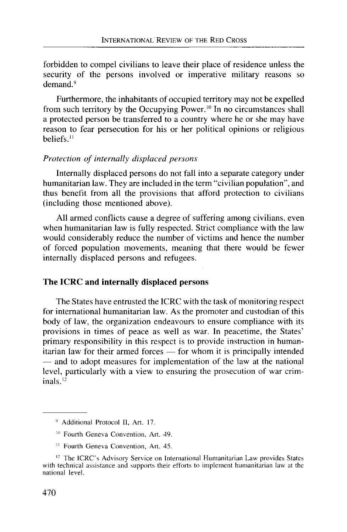forbidden to compel civilians to leave their place of residence unless the security of the persons involved or imperative military reasons so demand.<sup>9</sup>

Furthermore, the inhabitants of occupied territory may not be expelled from such territory by the Occupying Power.<sup>10</sup> In no circumstances shall a protected person be transferred to a country where he or she may have reason to fear persecution for his or her political opinions or religious beliefs.<sup>11</sup>

## *Protection of internally displaced persons*

Internally displaced persons do not fall into a separate category under humanitarian law. They are included in the term "civilian population", and thus benefit from all the provisions that afford protection to civilians (including those mentioned above).

All armed conflicts cause a degree of suffering among civilians, even when humanitarian law is fully respected. Strict compliance with the law would considerably reduce the number of victims and hence the number of forced population movements, meaning that there would be fewer internally displaced persons and refugees.

# **The ICRC and internally displaced persons**

The States have entrusted the ICRC with the task of monitoring respect for international humanitarian law. As the promoter and custodian of this body of law, the organization endeavours to ensure compliance with its provisions in times of peace as well as war. In peacetime, the States' primary responsibility in this respect is to provide instruction in humanitarian law for their armed forces — for whom it is principally intended — and to adopt measures for implementation of the law at the national level, particularly with a view to ensuring the prosecution of war criminals.<sup>12</sup>

<sup>9</sup> Additional Protocol II, Art. 17.

<sup>10</sup> Fourth Geneva Convention, Art. 49.

<sup>11</sup> Fourth Geneva Convention, Art. 45.

<sup>&</sup>lt;sup>12</sup> The ICRC's Advisory Service on International Humanitarian Law provides States with technical assistance and supports their efforts to implement humanitarian law at the national level.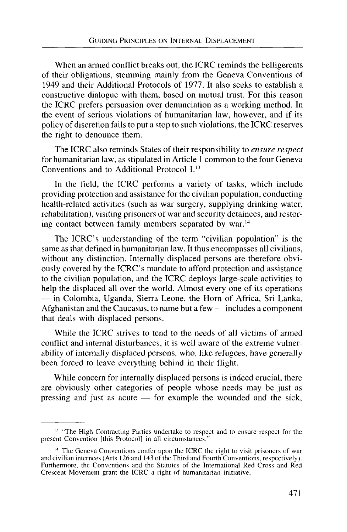When an armed conflict breaks out, the ICRC reminds the belligerents of their obligations, stemming mainly from the Geneva Conventions of 1949 and their Additional Protocols of 1977. It also seeks to establish a constructive dialogue with them, based on mutual trust. For this reason the ICRC prefers persuasion over denunciation as a working method. In the event of serious violations of humanitarian law, however, and if its policy of discretion fails to put a stop to such violations, the ICRC reserves the right to denounce them.

The ICRC also reminds States of their responsibility to *ensure respect* for humanitarian law, as stipulated in Article 1 common to the four Geneva Conventions and to Additional Protocol I.13

In the field, the ICRC performs a variety of tasks, which include providing protection and assistance for the civilian population, conducting health-related activities (such as war surgery, supplying drinking water, rehabilitation), visiting prisoners of war and security detainees, and restoring contact between family members separated by war.<sup>14</sup>

The ICRC's understanding of the term "civilian population" is the same as that defined in humanitarian law. It thus encompasses all civilians, without any distinction. Internally displaced persons are therefore obviously covered by the ICRC's mandate to afford protection and assistance to the civilian population, and the ICRC deploys large-scale activities to help the displaced all over the world. Almost every one of its operations — in Colombia, Uganda, Sierra Leone, the Horn of Africa, Sri Lanka, Afghanistan and the Caucasus, to name but a few — includes a component that deals with displaced persons.

While the ICRC strives to tend to the needs of all victims of armed conflict and internal disturbances, it is well aware of the extreme vulnerability of internally displaced persons, who, like refugees, have generally been forced to leave everything behind in their flight.

While concern for internally displaced persons is indeed crucial, there are obviously other categories of people whose needs may be just as pressing and just as acute — for example the wounded and the sick,

<sup>&</sup>lt;sup>13</sup> "The High Contracting Parties undertake to respect and to ensure respect for the present Convention [this Protocol] in all circumstances."

<sup>&</sup>lt;sup>14</sup> The Geneva Conventions confer upon the ICRC the right to visit prisoners of war and civilian internees (Arts 126 and 143 of the Third and Fourth Conventions, respectively). Furthermore, the Conventions and the Statutes of the International Red Cross and Red Crescent Movement grant the ICRC a right of humanitarian initiative.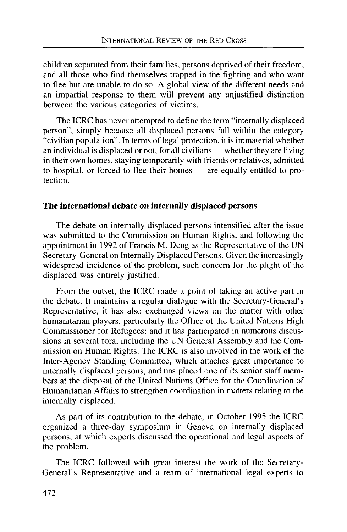children separated from their families, persons deprived of their freedom, and all those who find themselves trapped in the fighting and who want to flee but are unable to do so. A global view of the different needs and an impartial response to them will prevent any unjustified distinction between the various categories of victims.

The ICRC has never attempted to define the term "internally displaced person", simply because all displaced persons fall within the category "civilian population". In terms of legal protection, it is immaterial whether an individual is displaced or not, for all civilians — whether they are living in their own homes, staying temporarily with friends or relatives, admitted to hospital, or forced to flee their homes — are equally entitled to protection.

# **The international debate on internally displaced persons**

The debate on internally displaced persons intensified after the issue was submitted to the Commission on Human Rights, and following the appointment in 1992 of Francis M. Deng as the Representative of the UN Secretary-General on Internally Displaced Persons. Given the increasingly widespread incidence of the problem, such concern for the plight of the displaced was entirely justified.

From the outset, the ICRC made a point of taking an active part in the debate. It maintains a regular dialogue with the Secretary-General's Representative; it has also exchanged views on the matter with other humanitarian players, particularly the Office of the United Nations High Commissioner for Refugees; and it has participated in numerous discussions in several fora, including the UN General Assembly and the Commission on Human Rights. The ICRC is also involved in the work of the Inter-Agency Standing Committee, which attaches great importance to internally displaced persons, and has placed one of its senior staff members at the disposal of the United Nations Office for the Coordination of Humanitarian Affairs to strengthen coordination in matters relating to the internally displaced.

As part of its contribution to the debate, in October 1995 the ICRC organized a three-day symposium in Geneva on internally displaced persons, at which experts discussed the operational and legal aspects of the problem.

The ICRC followed with great interest the work of the Secretary-General's Representative and a team of international legal experts to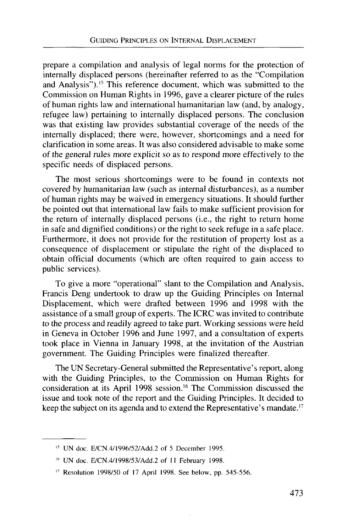prepare a compilation and analysis of legal norms for the protection of internally displaced persons (hereinafter referred to as the "Compilation and Analysis").<sup>15</sup> This reference document, which was submitted to the Commission on Human Rights in 1996, gave a clearer picture of the rules of human rights law and international humanitarian law (and, by analogy, refugee law) pertaining to internally displaced persons. The conclusion was that existing law provides substantial coverage of the needs of the internally displaced; there were, however, shortcomings and a need for clarification in some areas. It was also considered advisable to make some of the general rules more explicit so as to respond more effectively to the specific needs of displaced persons.

The most serious shortcomings were to be found in contexts not covered by humanitarian law (such as internal disturbances), as a number of human rights may be waived in emergency situations. It should further be pointed out that international law fails to make sufficient provision for the return of internally displaced persons (i.e., the right to return home in safe and dignified conditions) or the right to seek refuge in a safe place. Furthermore, it does not provide for the restitution of property lost as a consequence of displacement or stipulate the right of the displaced to obtain official documents (which are often required to gain access to public services).

To give a more "operational" slant to the Compilation and Analysis, Francis Deng undertook to draw up the Guiding Principles on Internal Displacement, which were drafted between 1996 and 1998 with the assistance of a small group of experts. The ICRC was invited to contribute to the process and readily agreed to take part. Working sessions were held in Geneva in October 1996 and June 1997, and a consultation of experts took place in Vienna in January 1998, at the invitation of the Austrian government. The Guiding Principles were finalized thereafter.

The UN Secretary-General submitted the Representative's report, along with the Guiding Principles, to the Commission on Human Rights for consideration at its April 1998 session.<sup>16</sup> The Commission discussed the issue and took note of the report and the Guiding Principles. It decided to keep the subject on its agenda and to extend the Representative's mandate.<sup>17</sup>

UN doc. E/CN.4/1996/52/Add.2 of 5 December 1995.

UN doc. E/CN.4/1998/53/Add.2 of 11 February 1998.

Resolution 1998/50 of 17 April 1998. See below, pp. 545-556.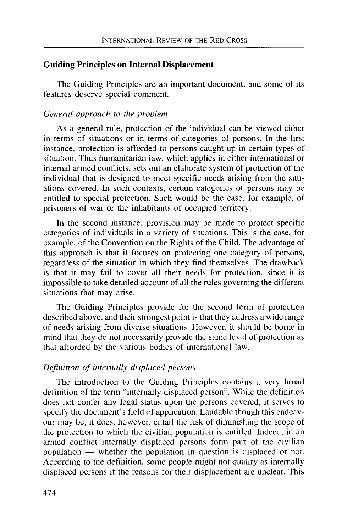# **Guiding Principles on Internal Displacement**

The Guiding Principles are an important document, and some of its features deserve special comment.

# *General approach to the problem*

As a general rule, protection of the individual can be viewed either in terms of situations or in terms of categories of persons. In the first instance, protection is afforded to persons caught up in certain types of situation. Thus humanitarian law, which applies in either international or internal armed conflicts, sets out an elaborate system of protection of the individual that is designed to meet specific needs arising from the situations covered. In such contexts, certain categories of persons may be entitled to special protection. Such would be the case, for example, of prisoners of war or the inhabitants of occupied territory.

In the second instance, provision may be made to protect specific categories of individuals in a variety of situations. This is the case, for example, of the Convention on the Rights of the Child. The advantage of this approach is that it focuses on protecting one category of persons, regardless of the situation in which they find themselves. The drawback is that it may fail to cover all their needs for protection, since it is impossible to take detailed account of all the rules governing the different situations that may arise.

The Guiding Principles provide for the second form of protection described above, and their strongest point is that they address a wide range of needs arising from diverse situations. However, it should be borne in mind that they do not necessarily provide the same level of protection as that afforded by the various bodies of international law.

# *Definition of internally displaced persons*

The introduction to the Guiding Principles contains a very broad definition of the term "internally displaced person". While the definition does not confer any legal status upon the persons covered, it serves to specify the document's field of application. Laudable though this endeavour may be, it does, however, entail the risk of diminishing the scope of the protection to which the civilian population is entitled. Indeed, in an armed conflict internally displaced persons form part of the civilian population — whether the population in question is displaced or not. According to the definition, some people might not qualify as internally displaced persons if the reasons for their displacement are unclear. This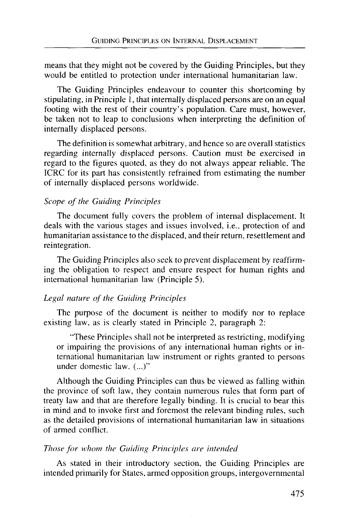means that they might not be covered by the Guiding Principles, but they would be entitled to protection under international humanitarian law.

The Guiding Principles endeavour to counter this shortcoming by stipulating, in Principle 1, that internally displaced persons are on an equal footing with the rest of their country's population. Care must, however, be taken not to leap to conclusions when interpreting the definition of internally displaced persons.

The definition is somewhat arbitrary, and hence so are overall statistics regarding internally displaced persons. Caution must be exercised in regard to the figures quoted, as they do not always appear reliable. The ICRC for its part has consistently refrained from estimating the number of internally displaced persons worldwide.

## *Scope of the Guiding Principles*

The document fully covers the problem of internal displacement. It deals with the various stages and issues involved, i.e., protection of and humanitarian assistance to the displaced, and their return, resettlement and reintegration.

The Guiding Principles also seek to prevent displacement by reaffirming the obligation to respect and ensure respect for human rights and international humanitarian law (Principle 5).

#### *Legal nature of the Guiding Principles*

The purpose of the document is neither to modify nor to replace existing law, as is clearly stated in Principle 2, paragraph 2:

"These Principles shall not be interpreted as restricting, modifying or impairing the provisions of any international human rights or international humanitarian law instrument or rights granted to persons under domestic law. (...)"

Although the Guiding Principles can thus be viewed as falling within the province of soft law, they contain numerous rules that form part of treaty law and that are therefore legally binding. It is crucial to bear this in mind and to invoke first and foremost the relevant binding rules, such as the detailed provisions of international humanitarian law in situations of armed conflict.

#### *Those for whom the Guiding Principles are intended*

As stated in their introductory section, the Guiding Principles are intended primarily for States, armed opposition groups, intergovernmental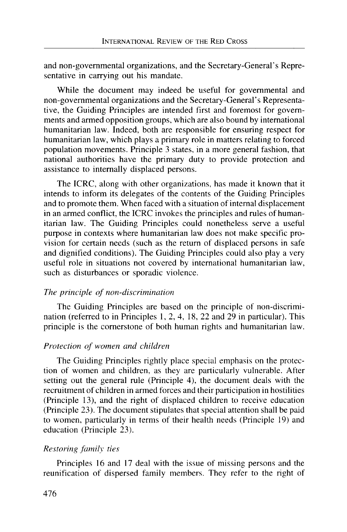and non-governmental organizations, and the Secretary-General's Representative in carrying out his mandate.

While the document may indeed be useful for governmental and non-governmental organizations and the Secretary-General's Representative, the Guiding Principles are intended first and foremost for governments and armed opposition groups, which are also bound by international humanitarian law. Indeed, both are responsible for ensuring respect for humanitarian law, which plays a primary role in matters relating to forced population movements. Principle 3 states, in a more general fashion, that national authorities have the primary duty to provide protection and assistance to internally displaced persons.

The ICRC, along with other organizations, has made it known that it intends to inform its delegates of the contents of the Guiding Principles and to promote them. When faced with a situation of internal displacement in an armed conflict, the ICRC invokes the principles and rules of humanitarian law. The Guiding Principles could nonetheless serve a useful purpose in contexts where humanitarian law does not make specific provision for certain needs (such as the return of displaced persons in safe and dignified conditions). The Guiding Principles could also play a very useful role in situations not covered by international humanitarian law, such as disturbances or sporadic violence.

#### *The principle of non-discrimination*

The Guiding Principles are based on the principle of non-discrimination (referred to in Principles 1, 2, 4, 18, 22 and 29 in particular). This principle is the cornerstone of both human rights and humanitarian law.

#### *Protection of women and children*

The Guiding Principles rightly place special emphasis on the protection of women and children, as they are particularly vulnerable. After setting out the general rule (Principle 4), the document deals with the recruitment of children in armed forces and their participation in hostilities (Principle 13), and the right of displaced children to receive education (Principle 23). The document stipulates that special attention shall be paid to women, particularly in terms of their health needs (Principle 19) and education (Principle 23).

#### *Restoring family ties*

Principles 16 and 17 deal with the issue of missing persons and the reunification of dispersed family members. They refer to the right of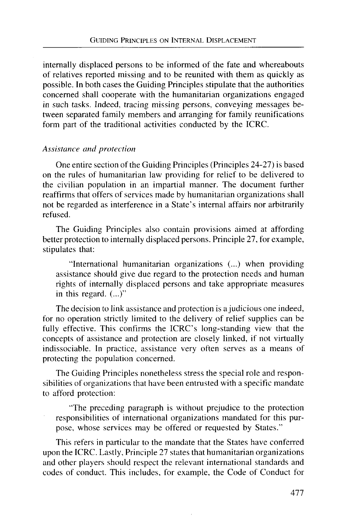internally displaced persons to be informed of the fate and whereabouts of relatives reported missing and to be reunited with them as quickly as possible. In both cases the Guiding Principles stipulate that the authorities concerned shall cooperate with the humanitarian organizations engaged in such tasks. Indeed, tracing missing persons, conveying messages between separated family members and arranging for family reunifications form part of the traditional activities conducted by the ICRC.

# *Assistance and protection*

One entire section of the Guiding Principles (Principles 24-27) is based on the rules of humanitarian law providing for relief to be delivered to the civilian population in an impartial manner. The document further reaffirms that offers of services made by humanitarian organizations shall not be regarded as interference in a State's internal affairs nor arbitrarily refused.

The Guiding Principles also contain provisions aimed at affording better protection to internally displaced persons. Principle 27, for example, stipulates that:

"International humanitarian organizations (...) when providing assistance should give due regard to the protection needs and human rights of internally displaced persons and take appropriate measures in this regard. (...)"

The decision to link assistance and protection is a judicious one indeed, for no operation strictly limited to the delivery of relief supplies can be fully effective. This confirms the ICRC's long-standing view that the concepts of assistance and protection are closely linked, if not virtually indissociable. In practice, assistance very often serves as a means of protecting the population concerned.

The Guiding Principles nonetheless stress the special role and responsibilities of organizations that have been entrusted with a specific mandate to afford protection:

"The preceding paragraph is without prejudice to the protection responsibilities of international organizations mandated for this purpose, whose services may be offered or requested by States."

This refers in particular to the mandate that the States have conferred upon the ICRC. Lastly, Principle 27 states that humanitarian organizations and other players should respect the relevant international standards and codes of conduct. This includes, for example, the Code of Conduct for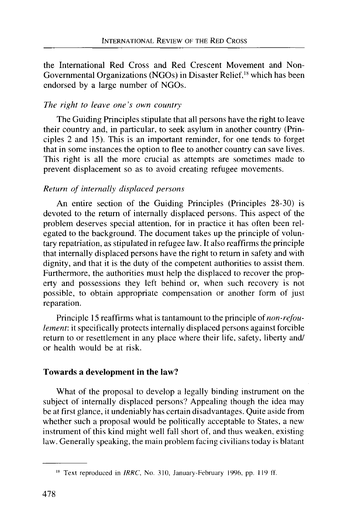the International Red Cross and Red Crescent Movement and Non-Governmental Organizations (NGOs) in Disaster Relief,<sup>18</sup> which has been endorsed by a large number of NGOs.

## *The right to leave one's own country*

The Guiding Principles stipulate that all persons have the right to leave their country and, in particular, to seek asylum in another country (Principles 2 and 15). This is an important reminder, for one tends to forget that in some instances the option to flee to another country can save lives. This right is all the more crucial as attempts are sometimes made to prevent displacement so as to avoid creating refugee movements.

# *Return of internally displaced persons*

An entire section of the Guiding Principles (Principles 28-30) is devoted to the return of internally displaced persons. This aspect of the problem deserves special attention, for in practice it has often been relegated to the background. The document takes up the principle of voluntary repatriation, as stipulated in refugee law. It also reaffirms the principle that internally displaced persons have the right to return in safety and with dignity, and that it is the duty of the competent authorities to assist them. Furthermore, the authorities must help the displaced to recover the property and possessions they left behind or, when such recovery is not possible, to obtain appropriate compensation or another form of just reparation.

Principle 15 reaffirms what is tantamount to the principle of *non-refoulement*: it specifically protects internally displaced persons against forcible return to or resettlement in any place where their life, safety, liberty and/ or health would be at risk.

# **Towards a development in the law?**

What of the proposal to develop a legally binding instrument on the subject of internally displaced persons? Appealing though the idea may be at first glance, it undeniably has certain disadvantages. Quite aside from whether such a proposal would be politically acceptable to States, a new instrument of this kind might well fall short of, and thus weaken, existing law. Generally speaking, the main problem facing civilians today is blatant

<sup>&</sup>lt;sup>18</sup> Text reproduced in *IRRC*, No. 310, January-February 1996, pp. 119 ff.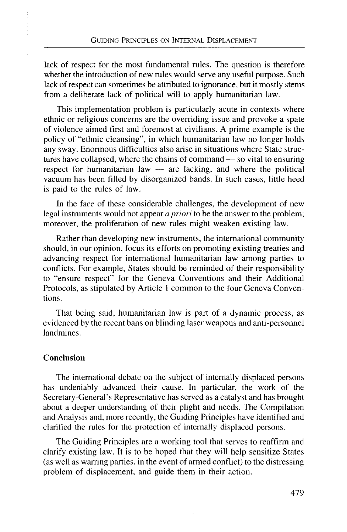lack of respect for the most fundamental rules. The question is therefore whether the introduction of new rules would serve any useful purpose. Such lack of respect can sometimes be attributed to ignorance, but it mostly stems from a deliberate lack of political will to apply humanitarian law.

This implementation problem is particularly acute in contexts where ethnic or religious concerns are the overriding issue and provoke a spate of violence aimed first and foremost at civilians. A prime example is the policy of "ethnic cleansing", in which humanitarian law no longer holds any sway. Enormous difficulties also arise in situations where State structures have collapsed, where the chains of command — so vital to ensuring respect for humanitarian law — are lacking, and where the political vacuum has been filled by disorganized bands. In such cases, little heed is paid to the rules of law.

In the face of these considerable challenges, the development of new legal instruments would not appear *a priori* to be the answer to the problem; moreover, the proliferation of new rules might weaken existing law.

Rather than developing new instruments, the international community should, in our opinion, focus its efforts on promoting existing treaties and advancing respect for international humanitarian law among parties to conflicts. For example, States should be reminded of their responsibility to "ensure respect" for the Geneva Conventions and their Additional Protocols, as stipulated by Article 1 common to the four Geneva Conventions.

That being said, humanitarian law is part of a dynamic process, as evidenced by the recent bans on blinding laser weapons and anti-personnel landmines.

# **Conclusion**

The international debate on the subject of internally displaced persons has undeniably advanced their cause. In particular, the work of the Secretary-General's Representative has served as a catalyst and has brought about a deeper understanding of their plight and needs. The Compilation and Analysis and, more recently, the Guiding Principles have identified and clarified the rules for the protection of internally displaced persons.

The Guiding Principles are a working tool that serves to reaffirm and clarify existing law. It is to be hoped that they will help sensitize States (as well as warring parties, in the event of armed conflict) to the distressing problem of displacement, and guide them in their action.